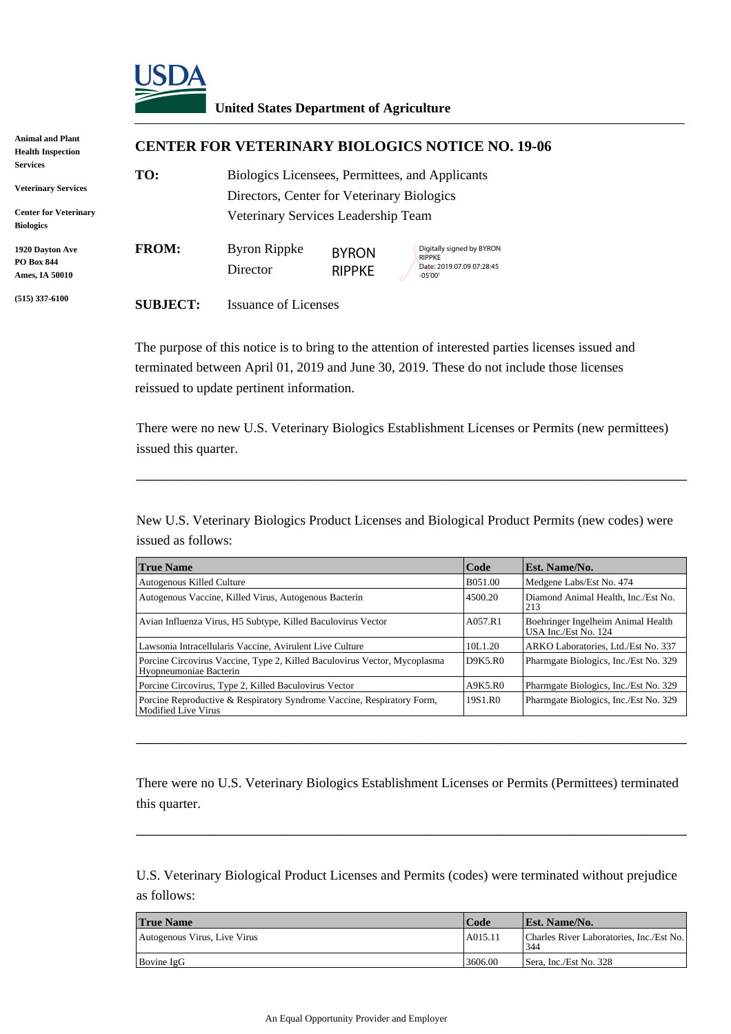

| Animal and Plant<br><b>Health Inspection</b>     | <b>CENTER FOR VETERINARY BIOLOGICS NOTICE NO. 19-06</b> |                                                                                               |                               |                                                                                      |  |  |
|--------------------------------------------------|---------------------------------------------------------|-----------------------------------------------------------------------------------------------|-------------------------------|--------------------------------------------------------------------------------------|--|--|
| Services<br><b>Veterinary Services</b>           | TO:                                                     | Biologics Licensees, Permittees, and Applicants<br>Directors, Center for Veterinary Biologics |                               |                                                                                      |  |  |
| <b>Center for Veterinary</b><br><b>Biologics</b> |                                                         | Veterinary Services Leadership Team                                                           |                               |                                                                                      |  |  |
| 1920 Davton Ave<br>PO Box 844<br>Ames, IA 50010  | <b>FROM:</b>                                            | Byron Rippke<br>Director                                                                      | <b>BYRON</b><br><b>RIPPKE</b> | Digitally signed by BYRON<br><b>RIPPKE</b><br>Date: 2019.07.09 07:28:45<br>$-05'00'$ |  |  |
| $(515)$ 337-6100                                 | <b>SUBJECT:</b>                                         | <b>Issuance of Licenses</b>                                                                   |                               |                                                                                      |  |  |

The purpose of this notice is to bring to the attention of interested parties licenses issued and terminated between April 01, 2019 and June 30, 2019. These do not include those licenses reissued to update pertinent information.

There were no new U.S. Veterinary Biologics Establishment Licenses or Permits (new permittees) issued this quarter.

\_\_\_\_\_\_\_\_\_\_\_\_\_\_\_\_\_\_\_\_\_\_\_\_\_\_\_\_\_\_\_\_\_\_\_\_\_\_\_\_\_\_\_\_\_\_\_\_\_\_\_\_\_\_\_\_\_\_\_\_\_\_\_\_

New U.S. Veterinary Biologics Product Licenses and Biological Product Permits (new codes) were issued as follows:

| <b>True Name</b>                                                                                     | Code    | <b>Est. Name/No.</b>                                       |
|------------------------------------------------------------------------------------------------------|---------|------------------------------------------------------------|
| Autogenous Killed Culture                                                                            | B051.00 | Medgene Labs/Est No. 474                                   |
| Autogenous Vaccine, Killed Virus, Autogenous Bacterin                                                | 4500.20 | Diamond Animal Health, Inc./Est No.<br>213                 |
| Avian Influenza Virus, H5 Subtype, Killed Baculovirus Vector                                         | A057.R1 | Boehringer Ingelheim Animal Health<br>USA Inc./Est No. 124 |
| Lawsonia Intracellularis Vaccine, Avirulent Live Culture                                             | 10L1.20 | ARKO Laboratories, Ltd./Est No. 337                        |
| Porcine Circovirus Vaccine, Type 2, Killed Baculovirus Vector, Mycoplasma<br>Hyopneumoniae Bacterin  | D9K5.R0 | Pharmgate Biologics, Inc./Est No. 329                      |
| Porcine Circovirus, Type 2, Killed Baculovirus Vector                                                | A9K5.R0 | Pharmgate Biologics, Inc./Est No. 329                      |
| Porcine Reproductive & Respiratory Syndrome Vaccine, Respiratory Form,<br><b>Modified Live Virus</b> | 19S1.R0 | Pharmgate Biologics, Inc./Est No. 329                      |

There were no U.S. Veterinary Biologics Establishment Licenses or Permits (Permittees) terminated this quarter.

\_\_\_\_\_\_\_\_\_\_\_\_\_\_\_\_\_\_\_\_\_\_\_\_\_\_\_\_\_\_\_\_\_\_\_\_\_\_\_\_\_\_\_\_\_\_\_\_\_\_\_\_\_\_\_\_\_\_\_\_\_\_\_\_

\_\_\_\_\_\_\_\_\_\_\_\_\_\_\_\_\_\_\_\_\_\_\_\_\_\_\_\_\_\_\_\_\_\_\_\_\_\_\_\_\_\_\_\_\_\_\_\_\_\_\_\_\_\_\_\_\_\_\_\_\_\_\_\_

U.S. Veterinary Biological Product Licenses and Permits (codes) were terminated without prejudice as follows:

| <b>True Name</b>             | Code    | <b>Est. Name/No.</b>                            |
|------------------------------|---------|-------------------------------------------------|
| Autogenous Virus, Live Virus | A015.11 | Charles River Laboratories, Inc./Est No.<br>344 |
| Bovine IgG                   | 3606.00 | Sera. Inc./Est No. 328                          |